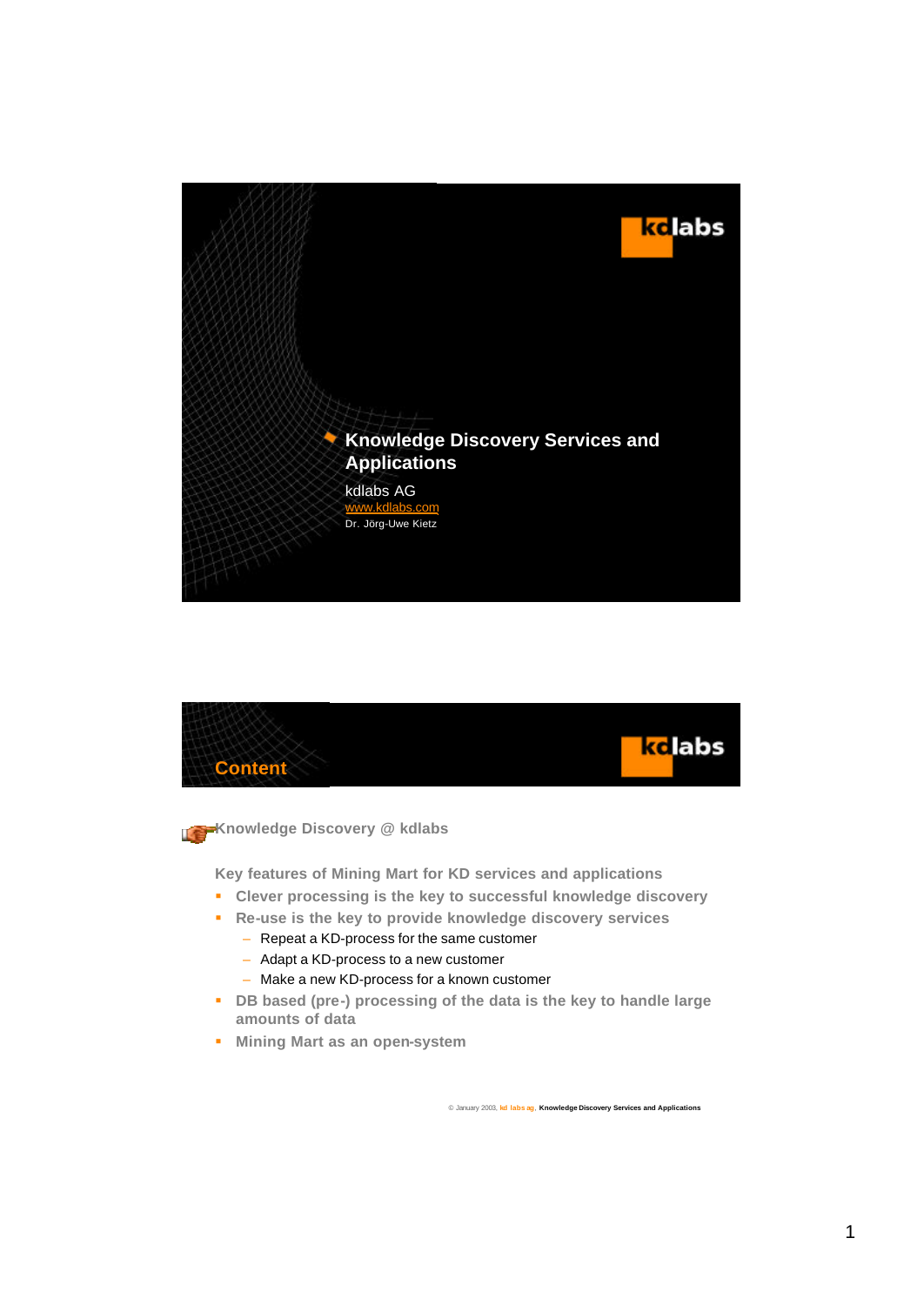



**Knowledge Discovery @ kdlabs** 

**Key features of Mining Mart for KD services and applications**

- ß **Clever processing is the key to successful knowledge discovery**
- ß **Re-use is the key to provide knowledge discovery services**
	- Repeat a KD-process for the same customer
	- Adapt a KD-process to a new customer
	- Make a new KD-process for a known customer
- **B** DB based (pre-) processing of the data is the key to handle large **amounts of data**
- **KID Mining Mart as an open-system**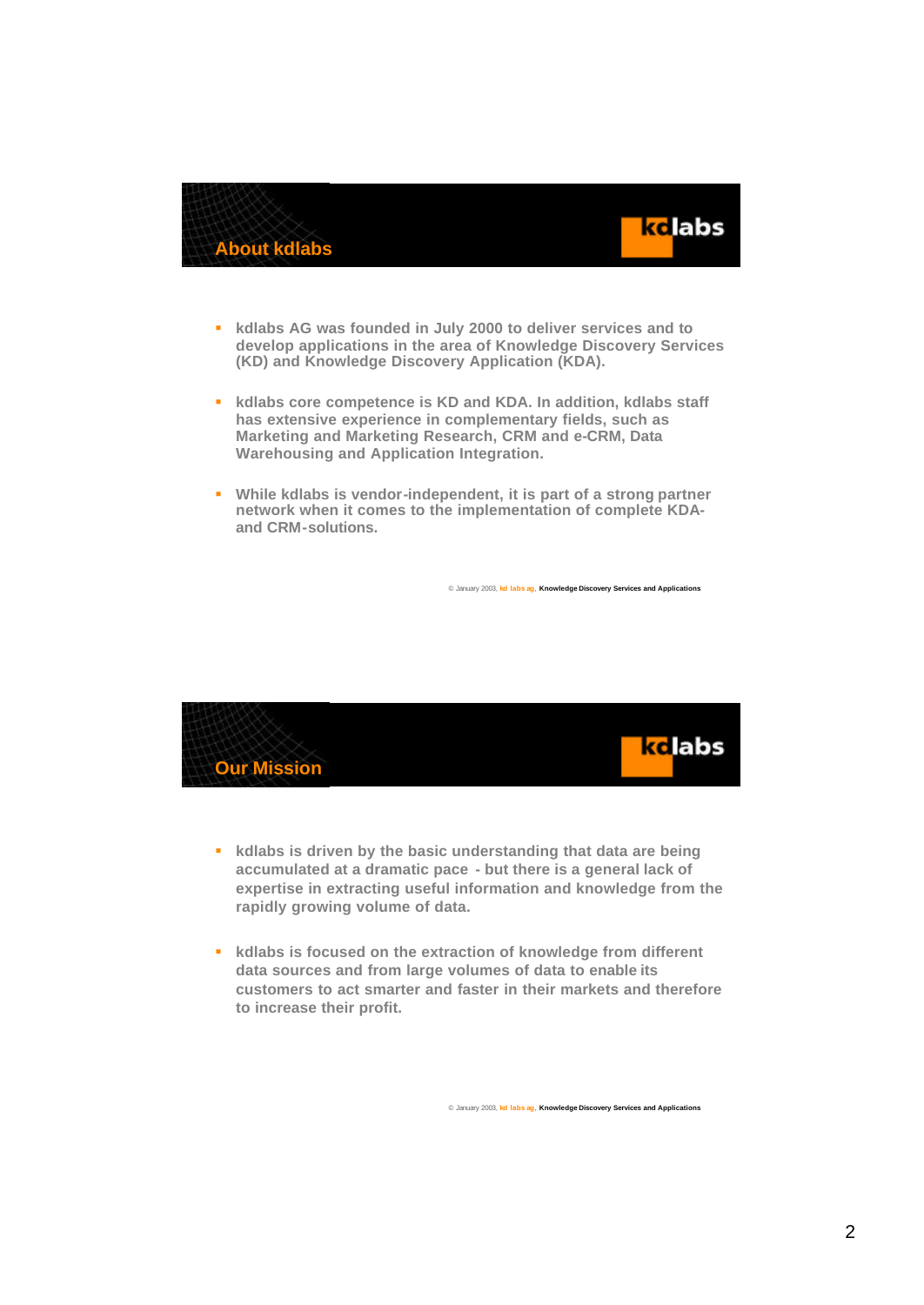



- ß **kdlabs AG was founded in July 2000 to deliver services and to develop applications in the area of Knowledge Discovery Services (KD) and Knowledge Discovery Application (KDA).**
- **EXECUTE: Kdlabs core competence is KD and KDA. In addition, kdlabs staff has extensive experience in complementary fields, such as Marketing and Marketing Research, CRM and e-CRM, Data Warehousing and Application Integration.**
- $\bullet$  While kdlabs is vendor-independent, it is part of a strong partner **network when it comes to the implementation of complete KDAand CRM-solutions.**



- ß **kdlabs is driven by the basic understanding that data are being accumulated at a dramatic pace - but there is a general lack of expertise in extracting useful information and knowledge from the rapidly growing volume of data.**
- ß **kdlabs is focused on the extraction of knowledge from different data sources and from large volumes of data to enable its customers to act smarter and faster in their markets and therefore to increase their profit.**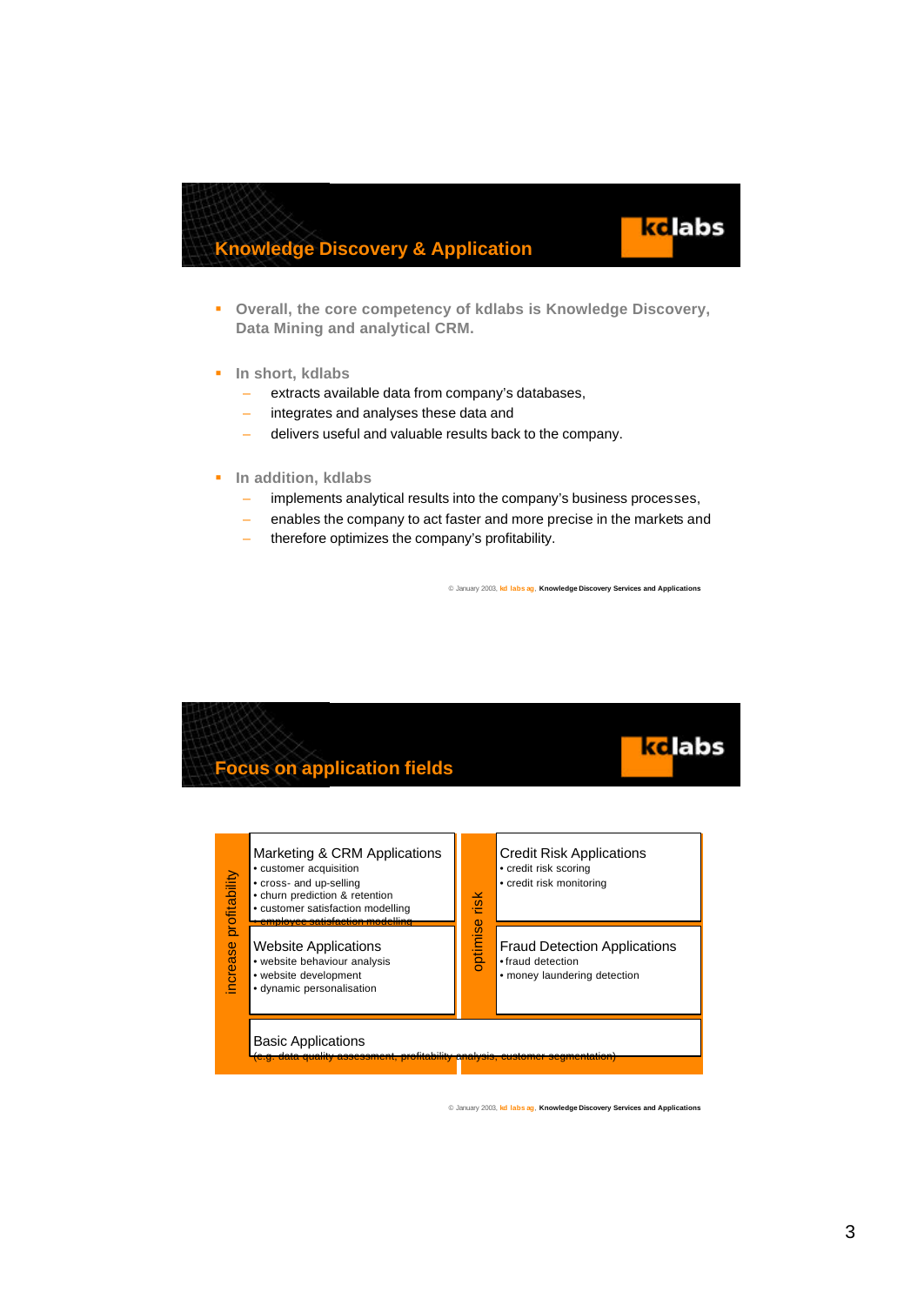### **Knowledge Discovery & Application**



- $\blacksquare$  In short, kdlabs
	- extracts available data from company's databases,
	- integrates and analyses these data and
	- delivers useful and valuable results back to the company.
- $\blacksquare$  In addition, kdlabs
	- implements analytical results into the company's business processes,
	- enables the company to act faster and more precise in the markets and
	- therefore optimizes the company's profitability.

© January 2003, **kd labs ag**, **Knowledge Discovery Services and Applications**

**k**clabs

# ke labs **Focus on application fields**

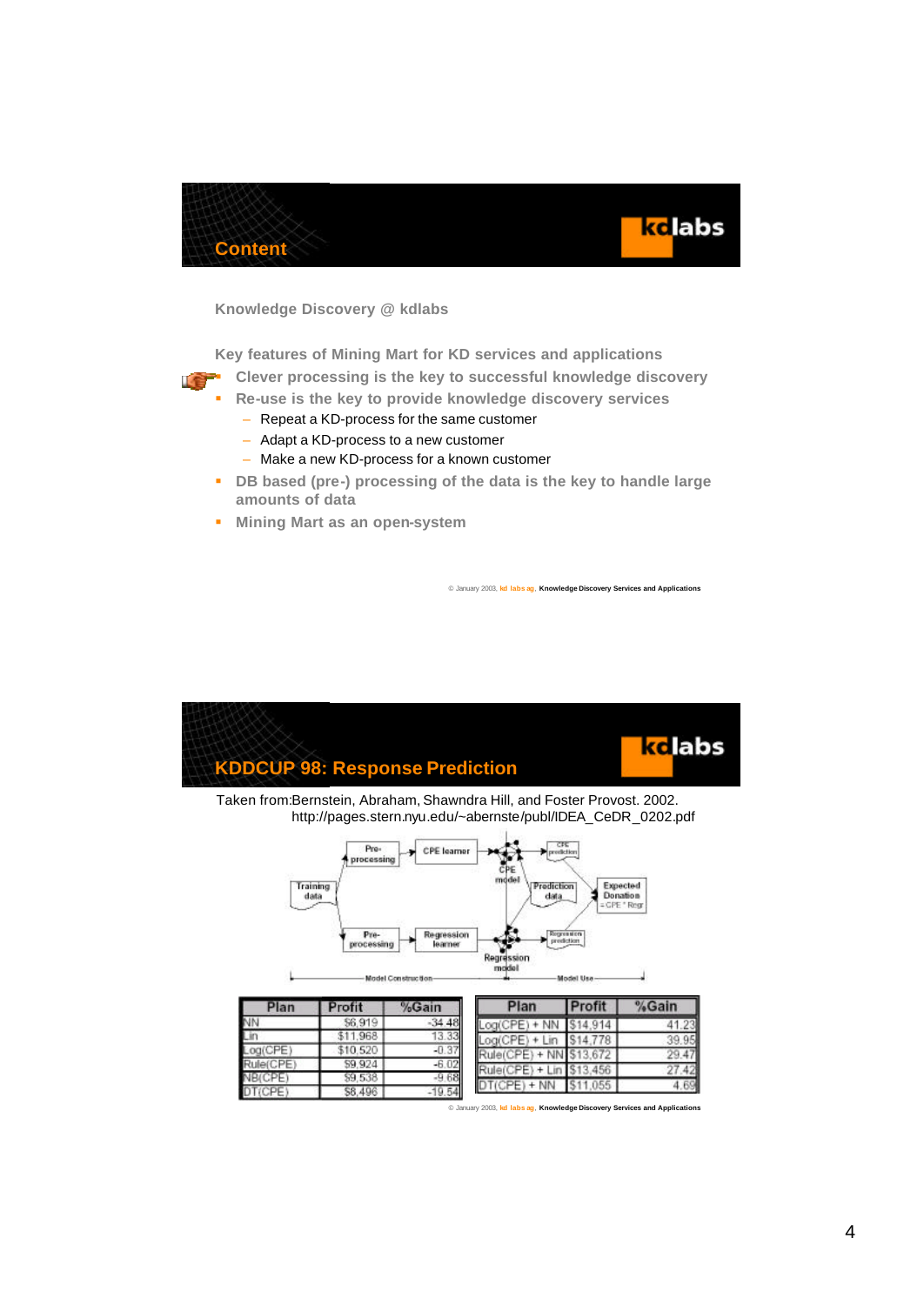



**Knowledge Discovery @ kdlabs**

**Key features of Mining Mart for KD services and applications**

- ß **Clever processing is the key to successful knowledge discovery**
- ß **Re-use is the key to provide knowledge discovery services**
	- Repeat a KD-process for the same customer
	- Adapt a KD-process to a new customer
	- Make a new KD-process for a known customer
- **B** DB based (pre-) processing of the data is the key to handle large **amounts of data**
- **KID Mining Mart as an open-system**

 $$1$ 

 $\overline{31}$ 

Ş ġ

 $\overline{s}$ 

Lin Log(CPE)

Rule(CPE)

NRICPE

DT(CPE)

© January 2003, **kd labs ag**, **Knowledge Discovery Services and Applications**



| fit   | %Gain   | Plan                     | <b>IProfit</b> | %Gain   |
|-------|---------|--------------------------|----------------|---------|
| 6,919 | 34.48   | $+ NN$                   | \$14,914       | 41.2    |
| 1.968 | 13.33   | Log(CPE) + Lin           | \$14,778       | 39.9    |
| 0.520 | $-0.37$ | Rule(CPE) + NN \$13,672  |                | $^{14}$ |
| 9.924 | $-6.02$ | Rule(CPE) + Lin \$13,456 |                | 4.      |
| 9,538 | $-9.68$ | $(CPE) + NN$ \$11,055    |                | 4.6     |
| 8 40A | 10.54   |                          |                |         |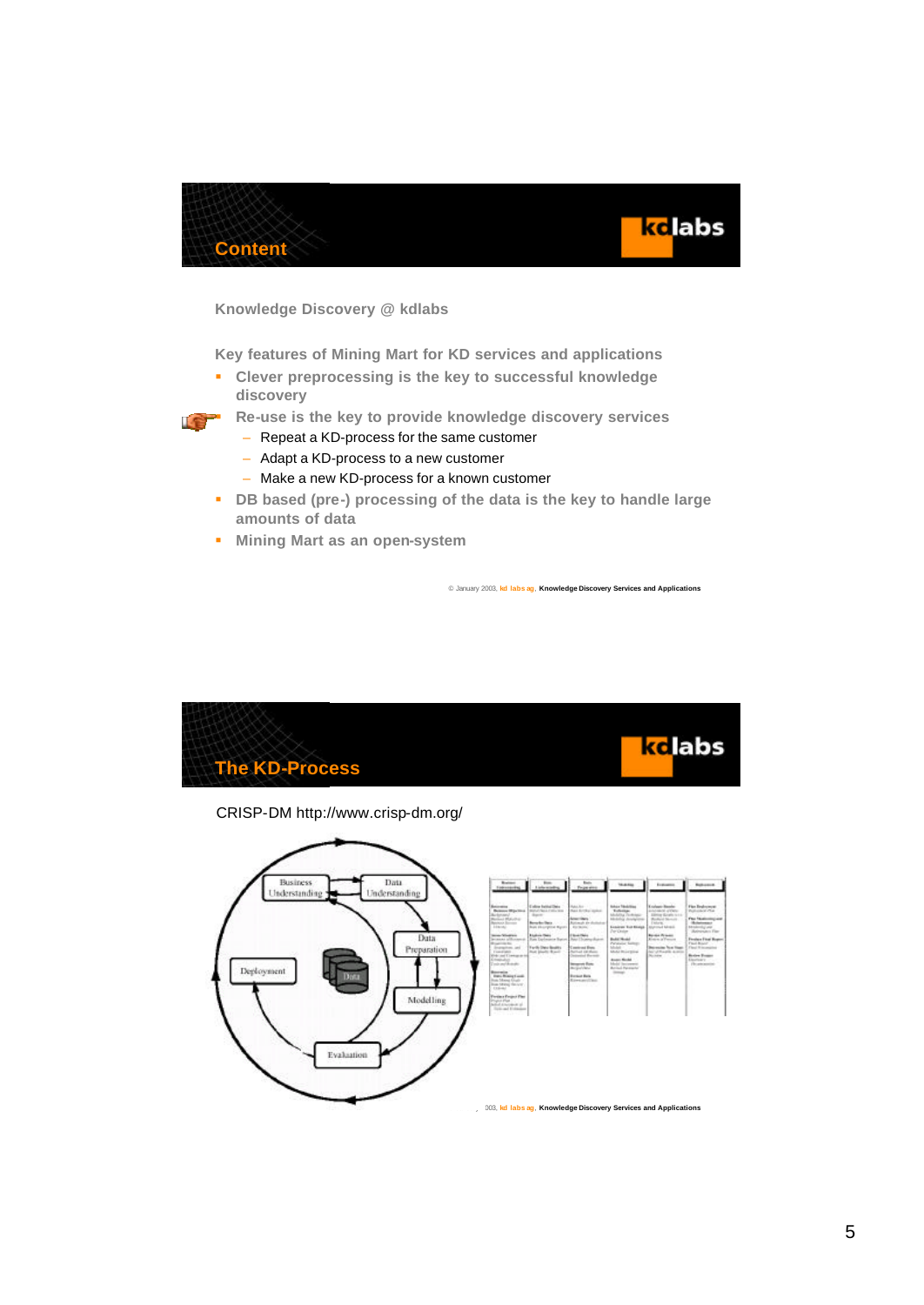



**Knowledge Discovery @ kdlabs**

**Key features of Mining Mart for KD services and applications**

ß **Clever preprocessing is the key to successful knowledge discovery**



- ß **Re-use is the key to provide knowledge discovery services**
	- Repeat a KD-process for the same customer
	- Adapt a KD-process to a new customer
	- Make a new KD-process for a known customer
- **B** DB based (pre-) processing of the data is the key to handle large **amounts of data**
- **KED Mining Mart as an open-system**

© January 2003, **kd labs ag**, **Knowledge Discovery Services and Applications**



CRISP-DM http://www.crisp-dm.org/

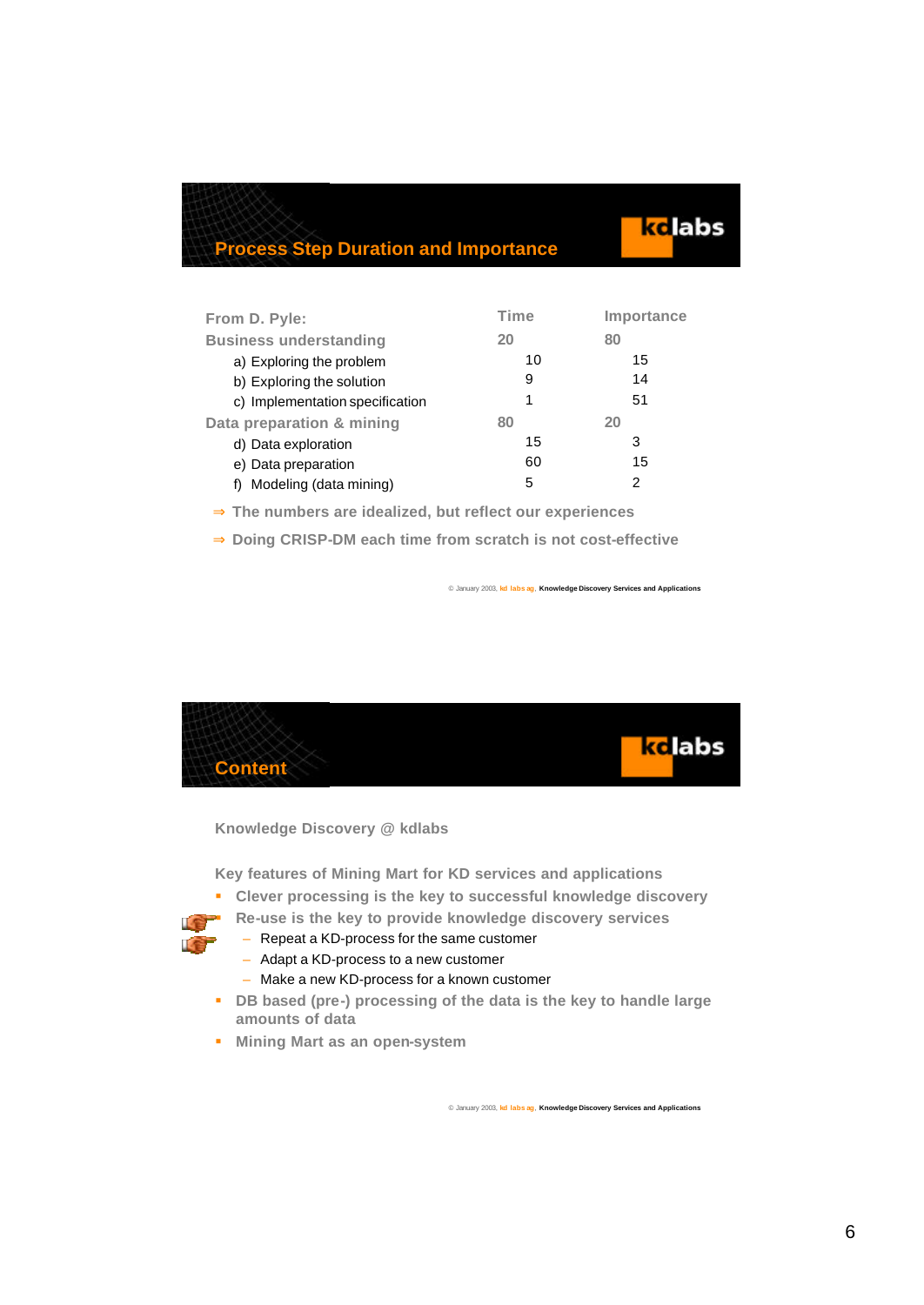### **Process Step Duration and Importance**

|                                 | <b>Time</b> |            |
|---------------------------------|-------------|------------|
| From D. Pyle:                   |             | Importance |
| <b>Business understanding</b>   | 20          | 80         |
| a) Exploring the problem        | 10          | 15         |
| b) Exploring the solution       | 9           | 14         |
| c) Implementation specification | 1           | 51         |
| Data preparation & mining       | 80          | 20         |
| d) Data exploration             | 15          | 3          |
| e) Data preparation             | 60          | 15         |
| Modeling (data mining)          | 5           | 2          |

- ⇒ **The numbers are idealized, but reflect our experiences**
- ⇒ **Doing CRISP-DM each time from scratch is not cost-effective**

© January 2003, **kd labs ag**, **Knowledge Discovery Services and Applications**

kelabs



**Knowledge Discovery @ kdlabs**

**Key features of Mining Mart for KD services and applications**

- ß **Clever processing is the key to successful knowledge discovery**
- ß **Re-use is the key to provide knowledge discovery services**
	- Repeat a KD-process for the same customer
	- Adapt a KD-process to a new customer
	- Make a new KD-process for a known customer
- **B** DB based (pre-) processing of the data is the key to handle large **amounts of data**
- **KET Mining Mart as an open-system**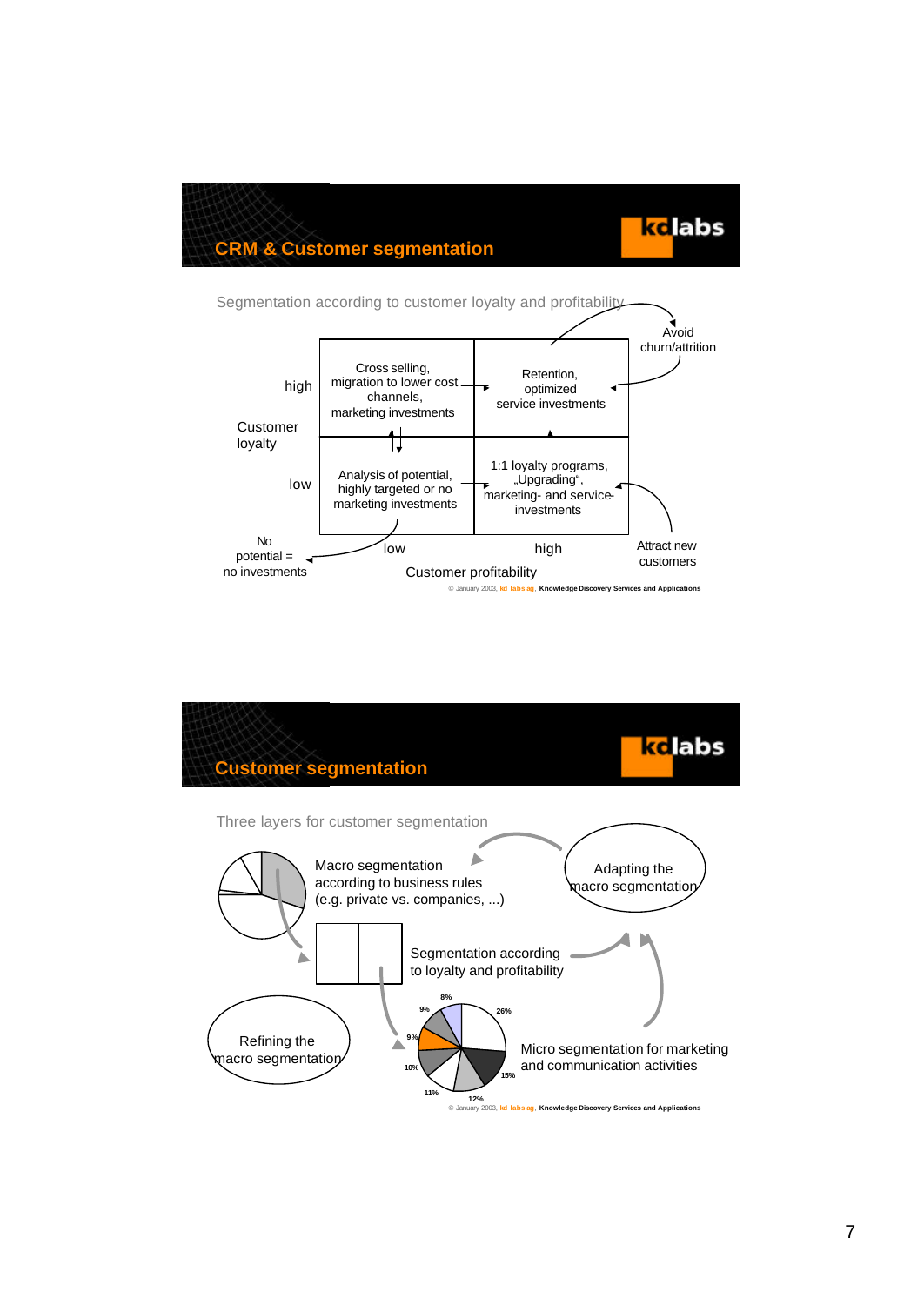kclabs

### **CRM & Customer segmentation**



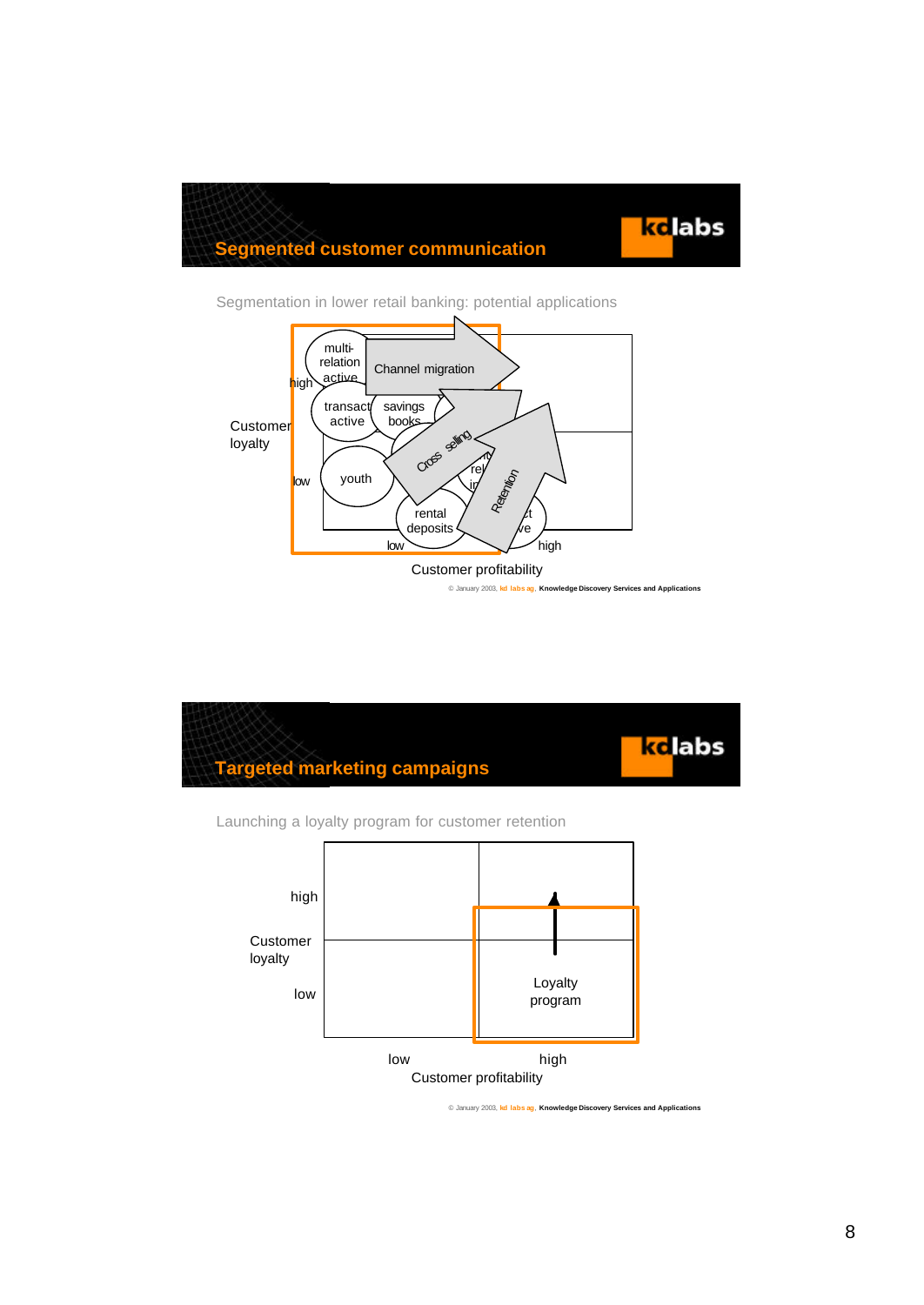



Segmentation in lower retail banking: potential applications



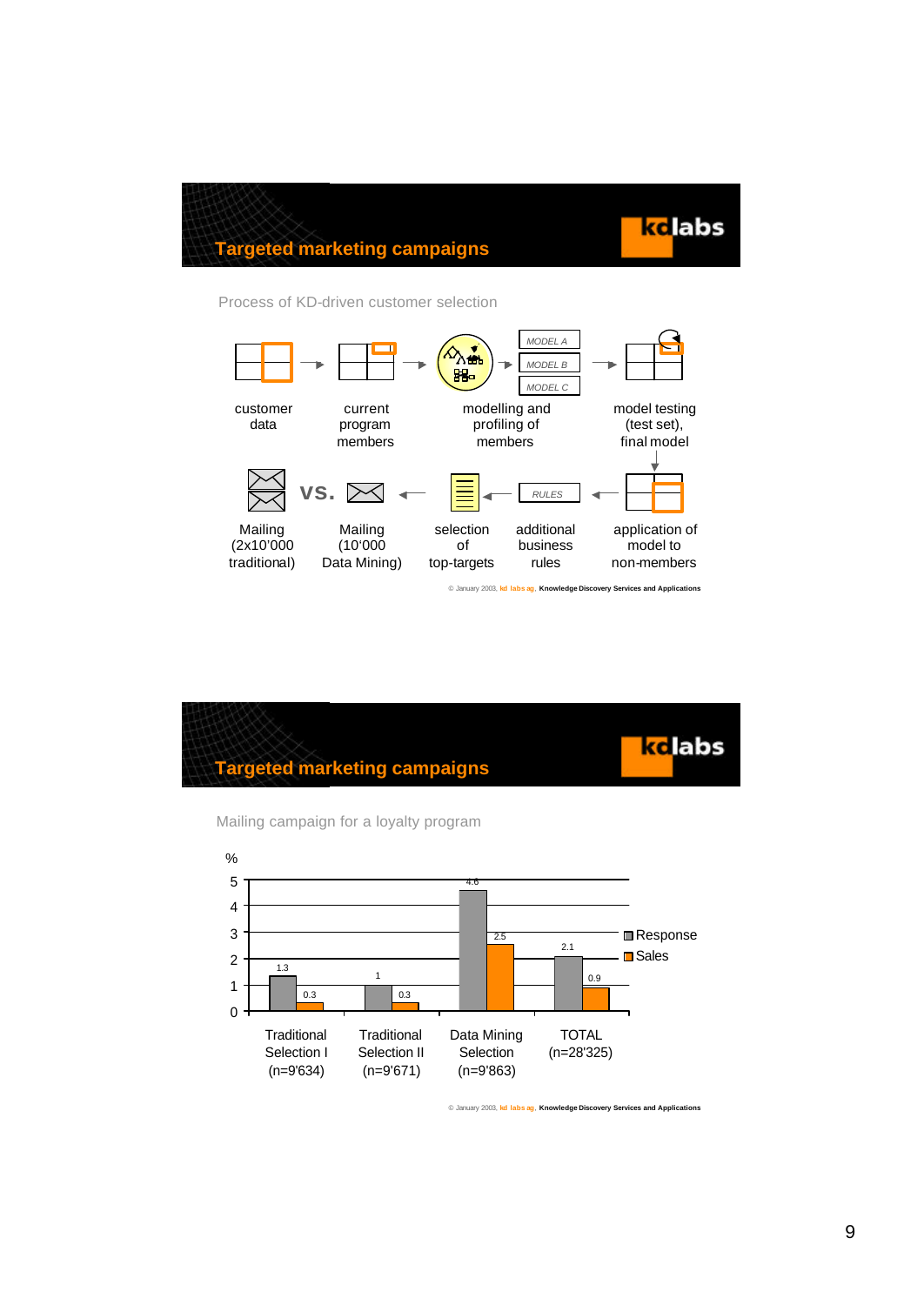

### **Targeted marketing campaigns**

#### Process of KD-driven customer selection



kc labs **Targeted marketing campaigns**



Mailing campaign for a loyalty program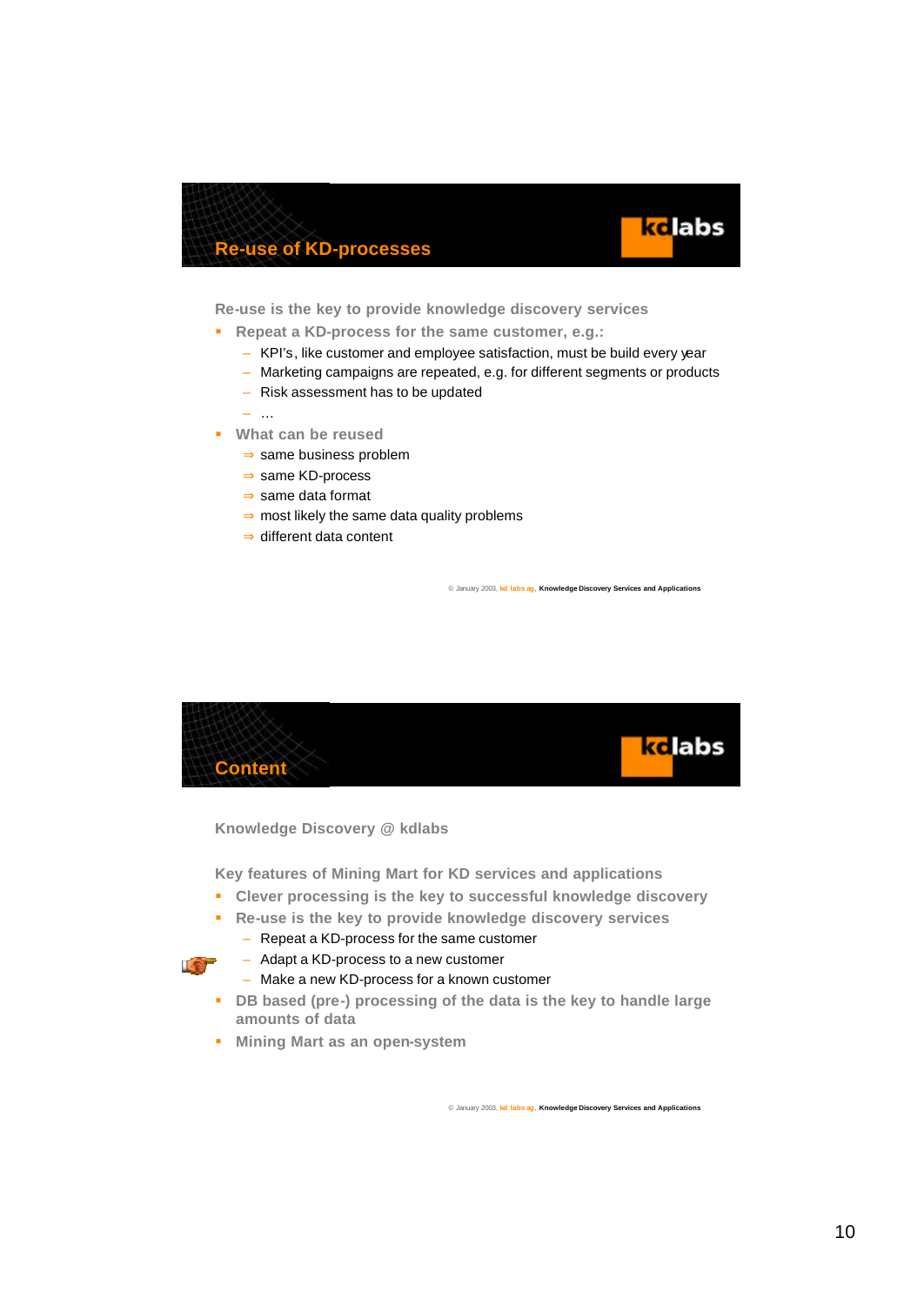



**Re-use is the key to provide knowledge discovery services**

- **Repeat a KD-process for the same customer, e.g.:** 
	- KPI's, like customer and employee satisfaction, must be build every year
	- Marketing campaigns are repeated, e.g. for different segments or products
	- Risk assessment has to be updated

– …

- **What can be reused** 
	- ⇒ same business problem
	- ⇒ same KD-process
	- ⇒ same data format
	- ⇒ most likely the same data quality problems
	- ⇒ different data content

© January 2003, **kd labs ag**, **Knowledge Discovery Services and Applications**



**Knowledge Discovery @ kdlabs**

**Key features of Mining Mart for KD services and applications**

- ß **Clever processing is the key to successful knowledge discovery**
- ß **Re-use is the key to provide knowledge discovery services**
	- Repeat a KD-process for the same customer



- Adapt a KD-process to a new customer
- Make a new KD-process for a known customer
- **B** DB based (pre-) processing of the data is the key to handle large **amounts of data**
- **KERG Mart as an open-system**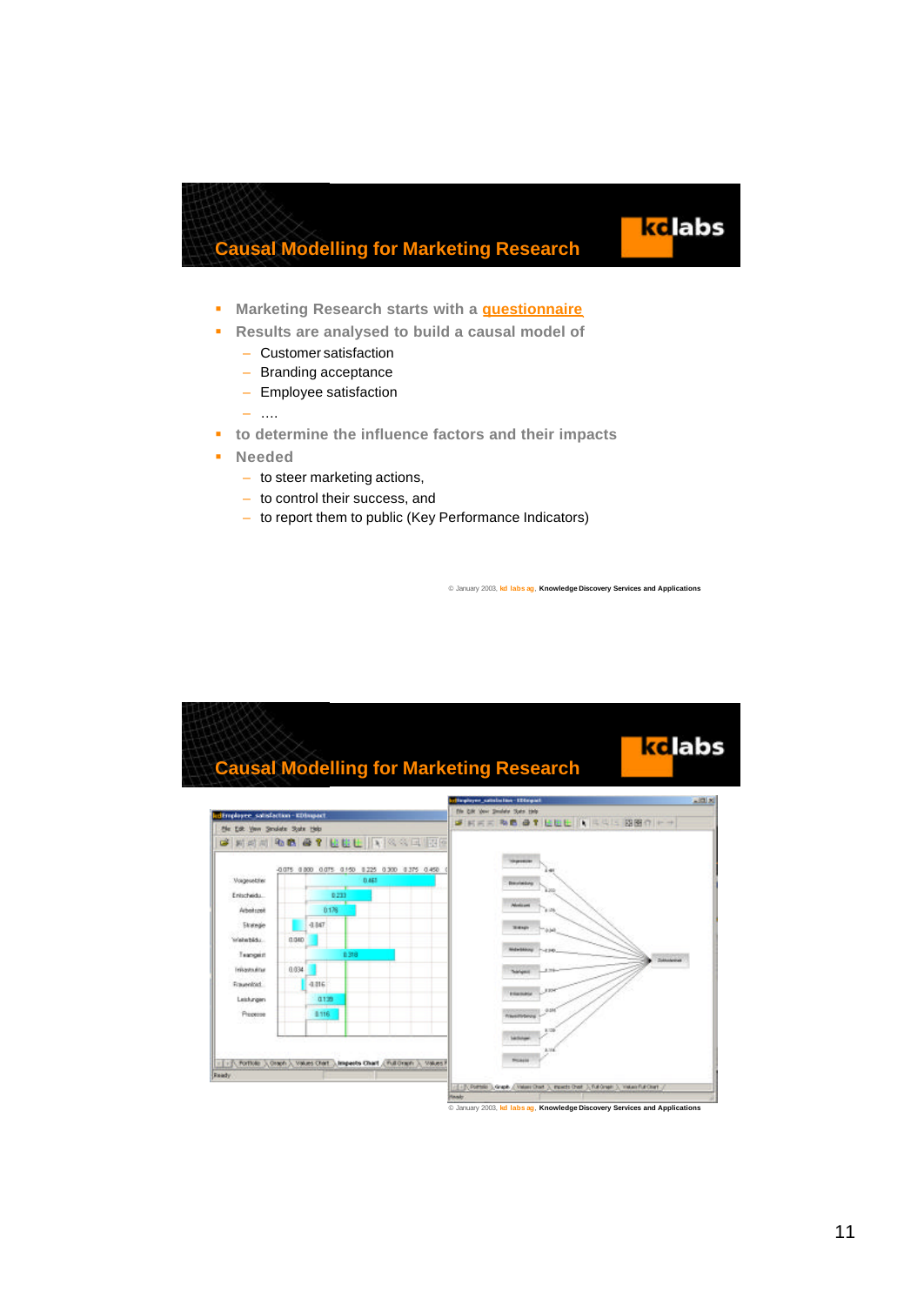

- **Kritage Marketing Research starts with a questionnaire**
- ß **Results are analysed to build a causal model of**
	- Customer satisfaction
	- Branding acceptance
	- Employee satisfaction
	- ….
- **to determine the influence factors and their impacts**
- ß **Needed**
	- to steer marketing actions,
	- to control their success, and
	- to report them to public (Key Performance Indicators)

© January 2003, **kd labs ag**, **Knowledge Discovery Services and Applications**

kclabs

#### ke labs **Causal Modelling for Marketing Research** $m \times$ Employee satisfaction - IED **SHEE NB OT LULL IN SSECTION** the Edit Van Smalde State this **BAAAQ & BY BEL AXAAT** ... 0.075 0.000 0.075 0.150 0.225 0.300 0.375 0.450 Voqeating Entscheidu  $b21$ Arbeitszeit 0176 Skenge  $4147$ Welettida 0.040 Teaconic Triustuána 0.034 Frauenhart 4.816 0139 Leistungen Processe 8116 First Fortiole 1, Orach 1, Values Chart 1, Imperite Chart / Pull Orach 1, Values 8 (1-3) Potter ), Graph / Vales Dort ), Inside Dort ), Pul Graph ), Install Pul (1-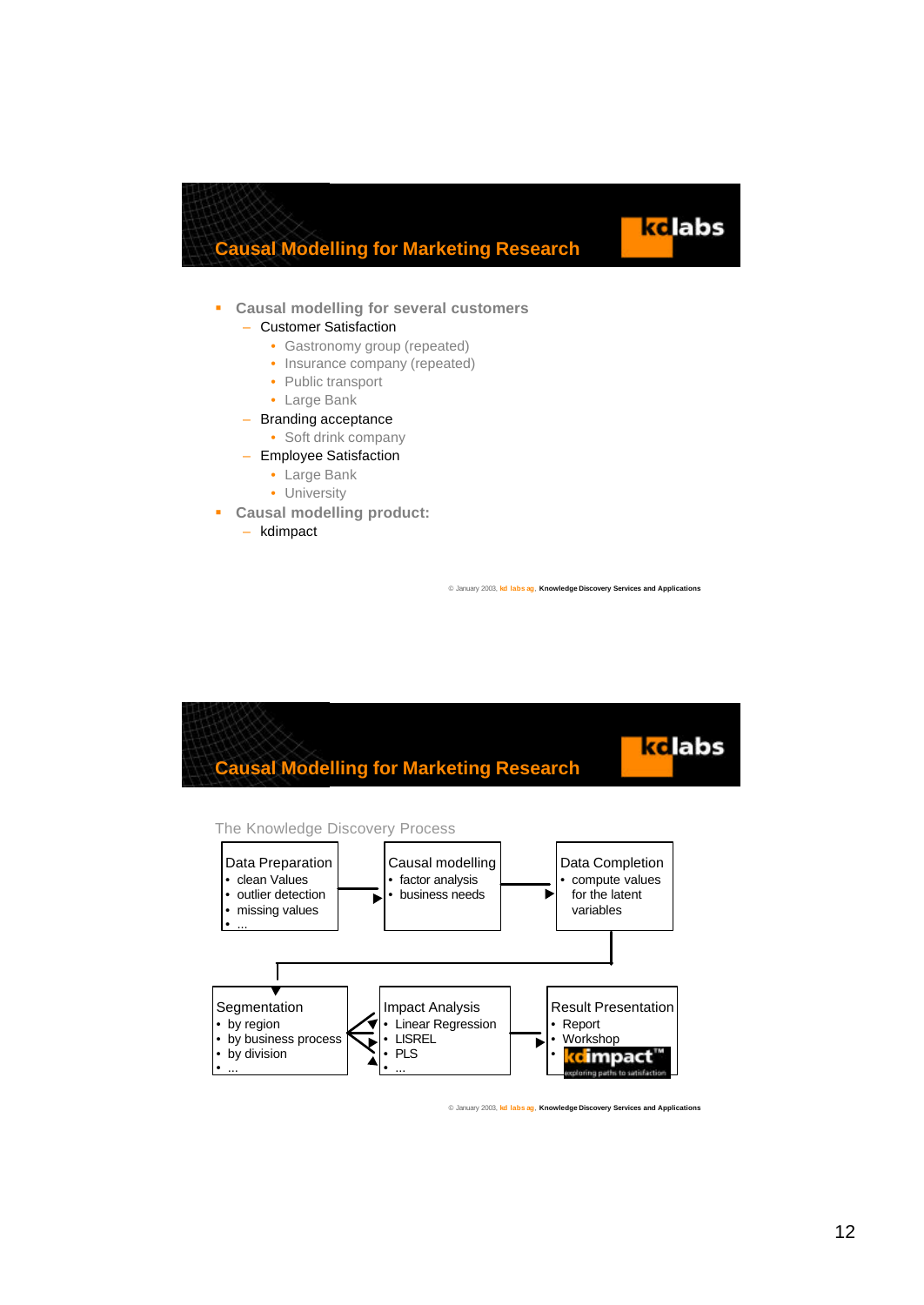

#### ß **Causal modelling for several customers**

- Customer Satisfaction
	- Gastronomy group (repeated)
	- Insurance company (repeated)
	- Public transport
	- Large Bank
- Branding acceptance
	- Soft drink company
- Employee Satisfaction
	- Large Bank
	- University
- ß **Causal modelling product:**
	- kdimpact

© January 2003, **kd labs ag**, **Knowledge Discovery Services and Applications**



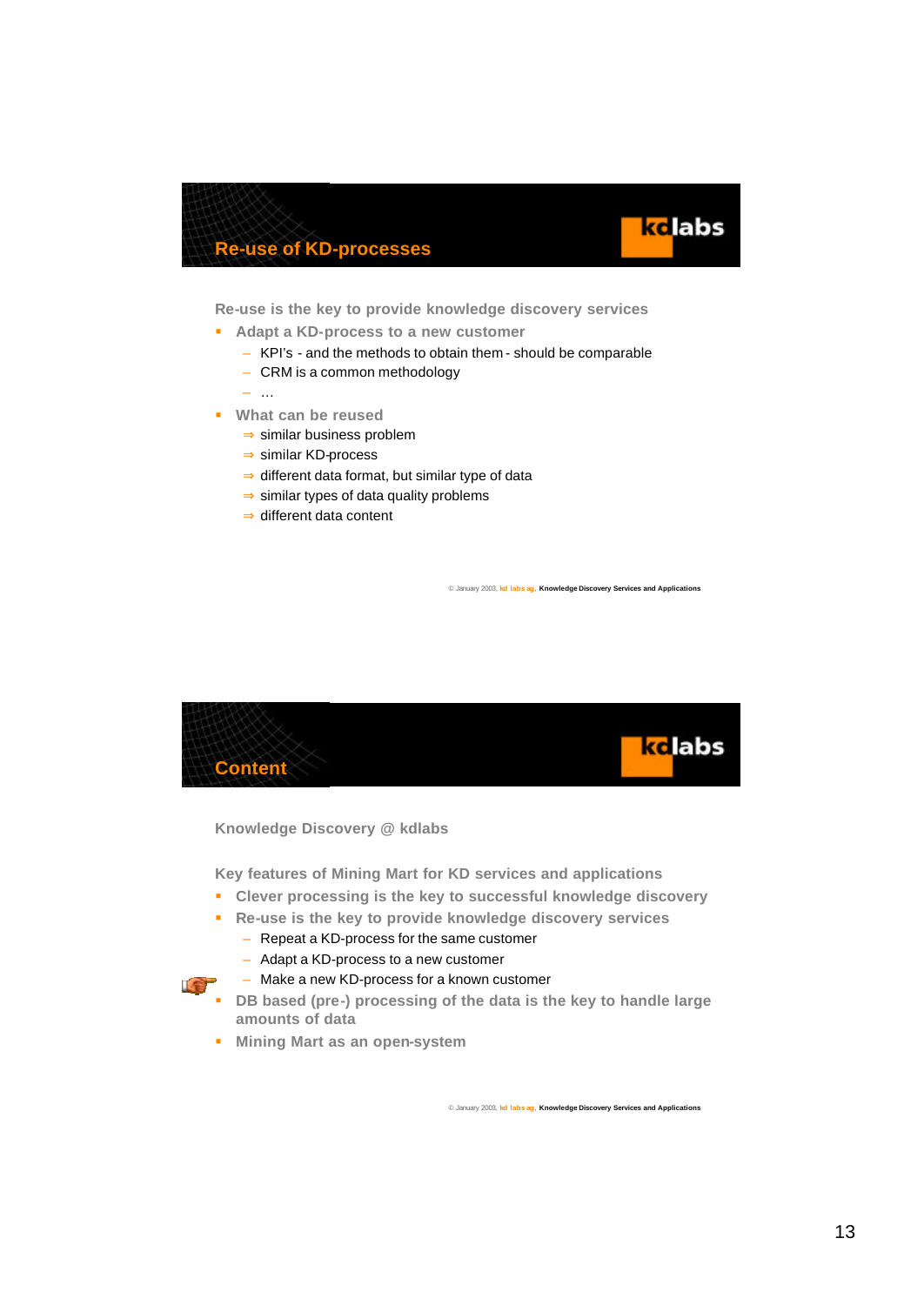



**Re-use is the key to provide knowledge discovery services**

- **Redapt a KD-process to a new customer** 
	- KPI's and the methods to obtain them should be comparable
	- CRM is a common methodology
	- …
- ß **What can be reused**
	- ⇒ similar business problem
	- ⇒ similar KD-process
	- ⇒ different data format, but similar type of data
	- ⇒ similar types of data quality problems
	- ⇒ different data content

© January 2003, **kd labs ag**, **Knowledge Discovery Services and Applications**



**Knowledge Discovery @ kdlabs**

**Key features of Mining Mart for KD services and applications**

- ß **Clever processing is the key to successful knowledge discovery**
- ß **Re-use is the key to provide knowledge discovery services**
	- Repeat a KD-process for the same customer

– Make a new KD-process for a known customer

– Adapt a KD-process to a new customer



- **B** DB based (pre-) processing of the data is the key to handle large **amounts of data**
- **KET Mining Mart as an open-system**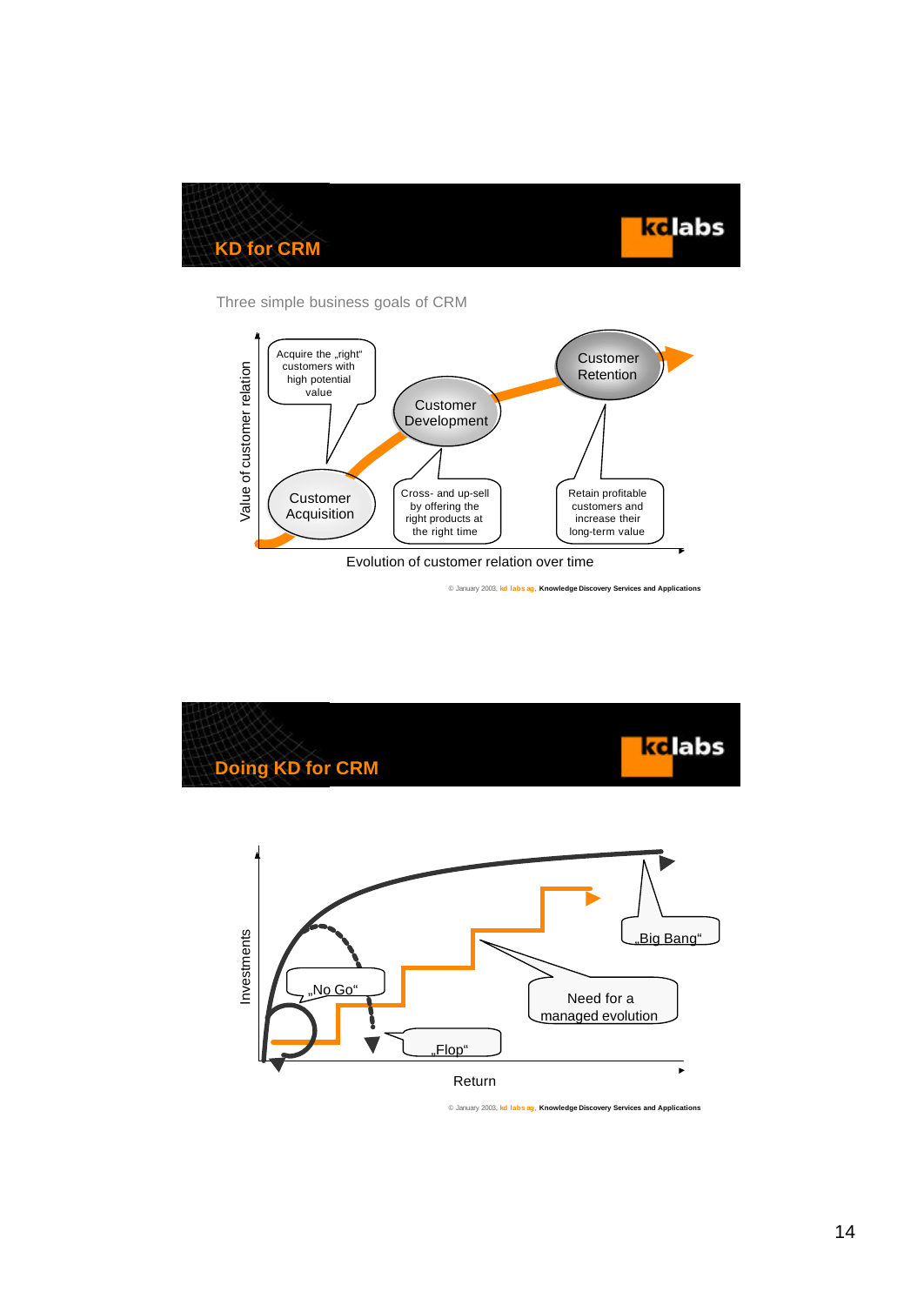



Three simple business goals of CRM



© January 2003, **kd labs ag**, **Knowledge Discovery Services and Applications**

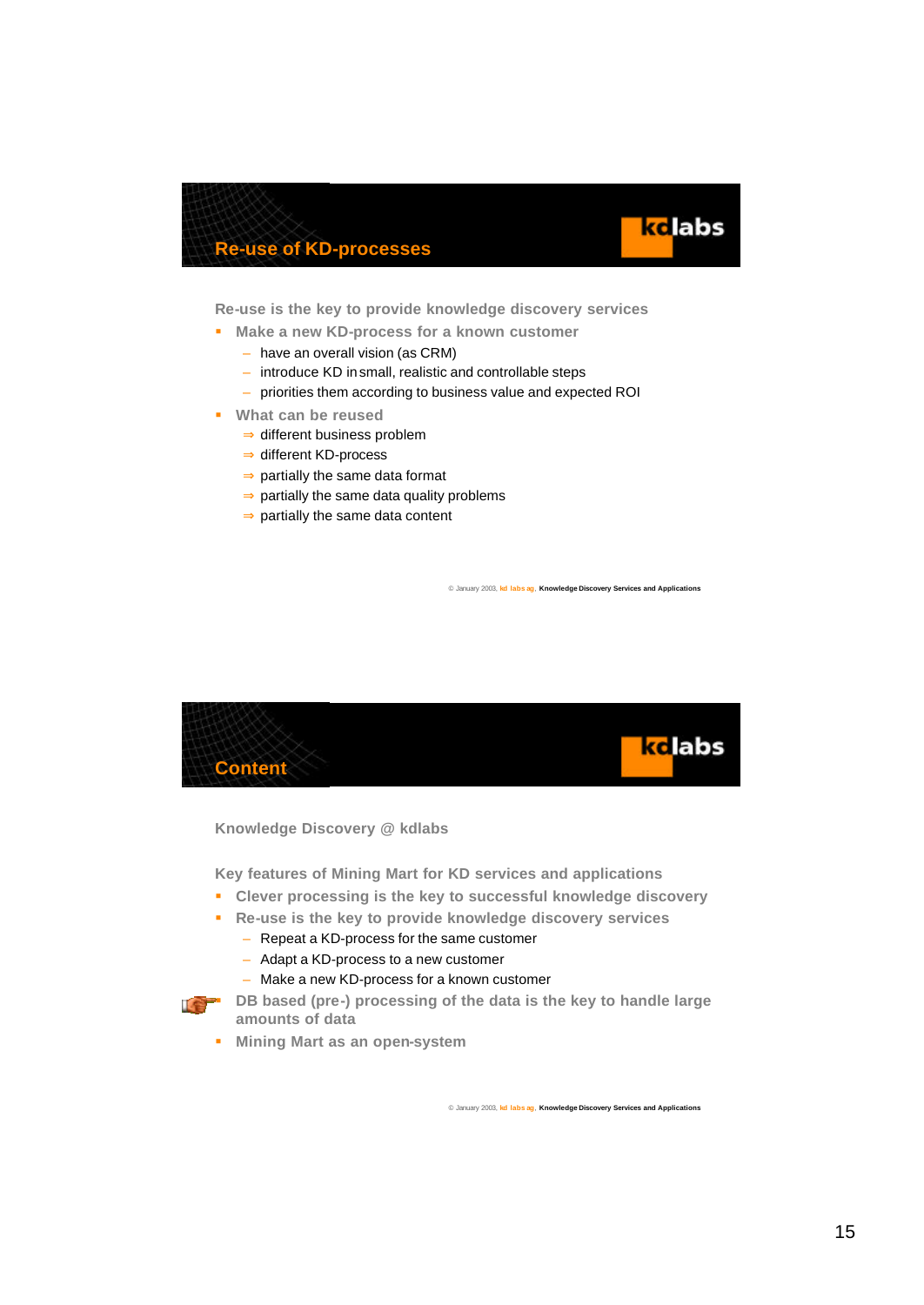



**Re-use is the key to provide knowledge discovery services**

- **KIMAKE A NEW KD-process for a known customer** 
	- have an overall vision (as CRM)
	- introduce KD in small, realistic and controllable steps
	- priorities them according to business value and expected ROI
- ß **What can be reused**
	- ⇒ different business problem
	- ⇒ different KD-process
	- ⇒ partially the same data format
	- $\Rightarrow$  partially the same data quality problems
	- ⇒ partially the same data content

© January 2003, **kd labs ag**, **Knowledge Discovery Services and Applications**



**Knowledge Discovery @ kdlabs**

**Key features of Mining Mart for KD services and applications**

- ß **Clever processing is the key to successful knowledge discovery**
- ß **Re-use is the key to provide knowledge discovery services**
	- Repeat a KD-process for the same customer
	- Adapt a KD-process to a new customer
	- Make a new KD-process for a known customer



- **DB** based (pre-) processing of the data is the key to handle large **amounts of data** 
	- **KET Mining Mart as an open-system**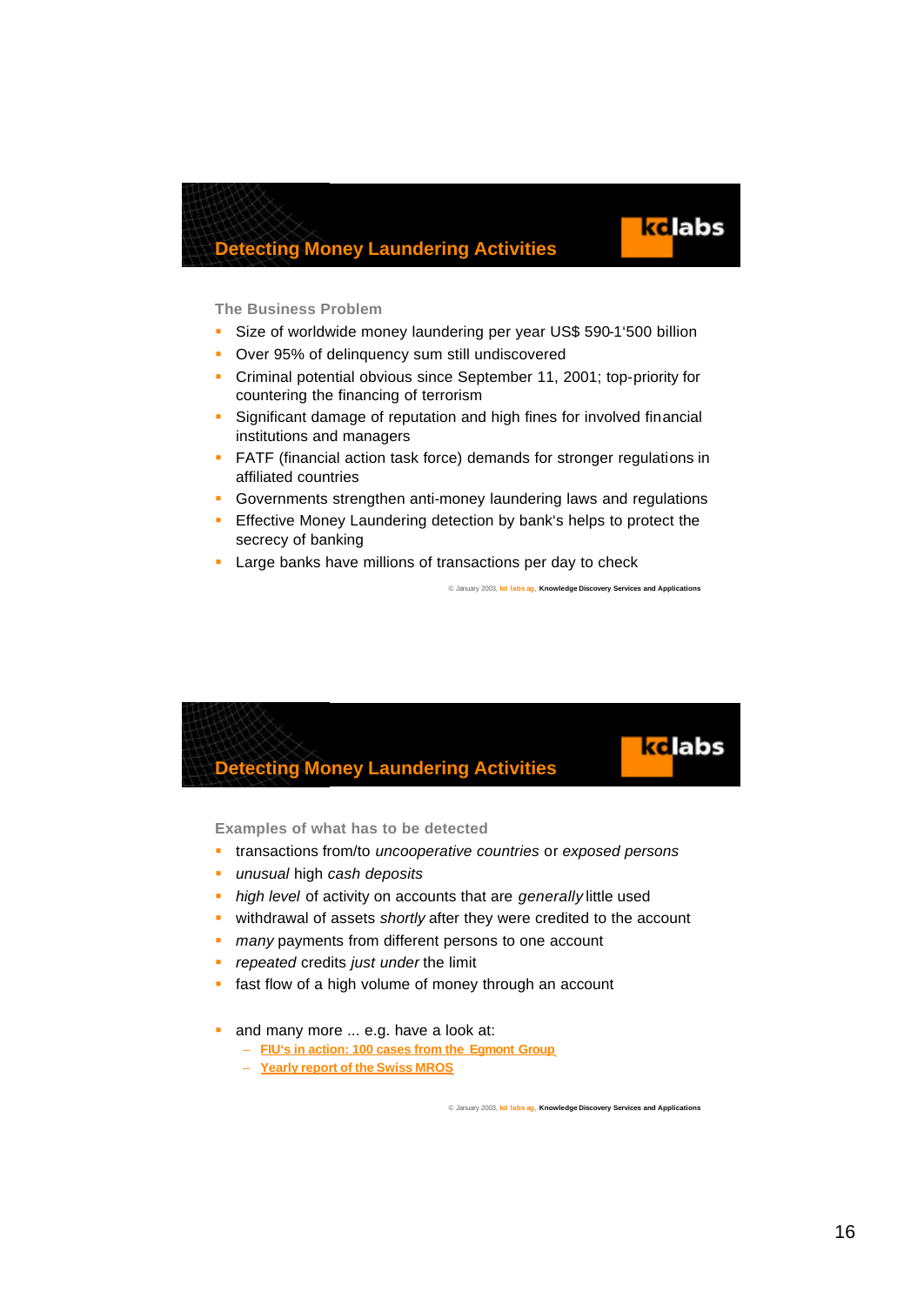

ke labs

#### **The Business Problem**

- **Size of worldwide money laundering per year US\$ 590-1'500 billion**
- **Over 95% of delinquency sum still undiscovered**
- Criminal potential obvious since September 11, 2001; top-priority for countering the financing of terrorism
- **Significant damage of reputation and high fines for involved financial** institutions and managers
- **FATF** (financial action task force) demands for stronger regulations in affiliated countries
- **Governments strengthen anti-money laundering laws and regulations**
- **Effective Money Laundering detection by bank's helps to protect the** secrecy of banking
- **EXTERN** Large banks have millions of transactions per day to check

© January 2003, **kd labs ag**, **Knowledge Discovery Services and Applications**

### **Detecting Money Laundering Activities**

**Examples of what has to be detected**

- ß transactions from/to *uncooperative countries* or *exposed persons*
- **unusual high cash deposits**
- **high level of activity on accounts that are** *generally* **little used**
- **EX withdrawal of assets** *shortly* **after they were credited to the account**
- **n** *many* payments from different persons to one account
- ß *repeated* credits *just under* the limit
- **fast flow of a high volume of money through an account**
- and many more ... e.g. have a look at:
	- **FIU's in action: 100 cases from the Egmont Group**
	- **Yearly report of the Swiss MROS**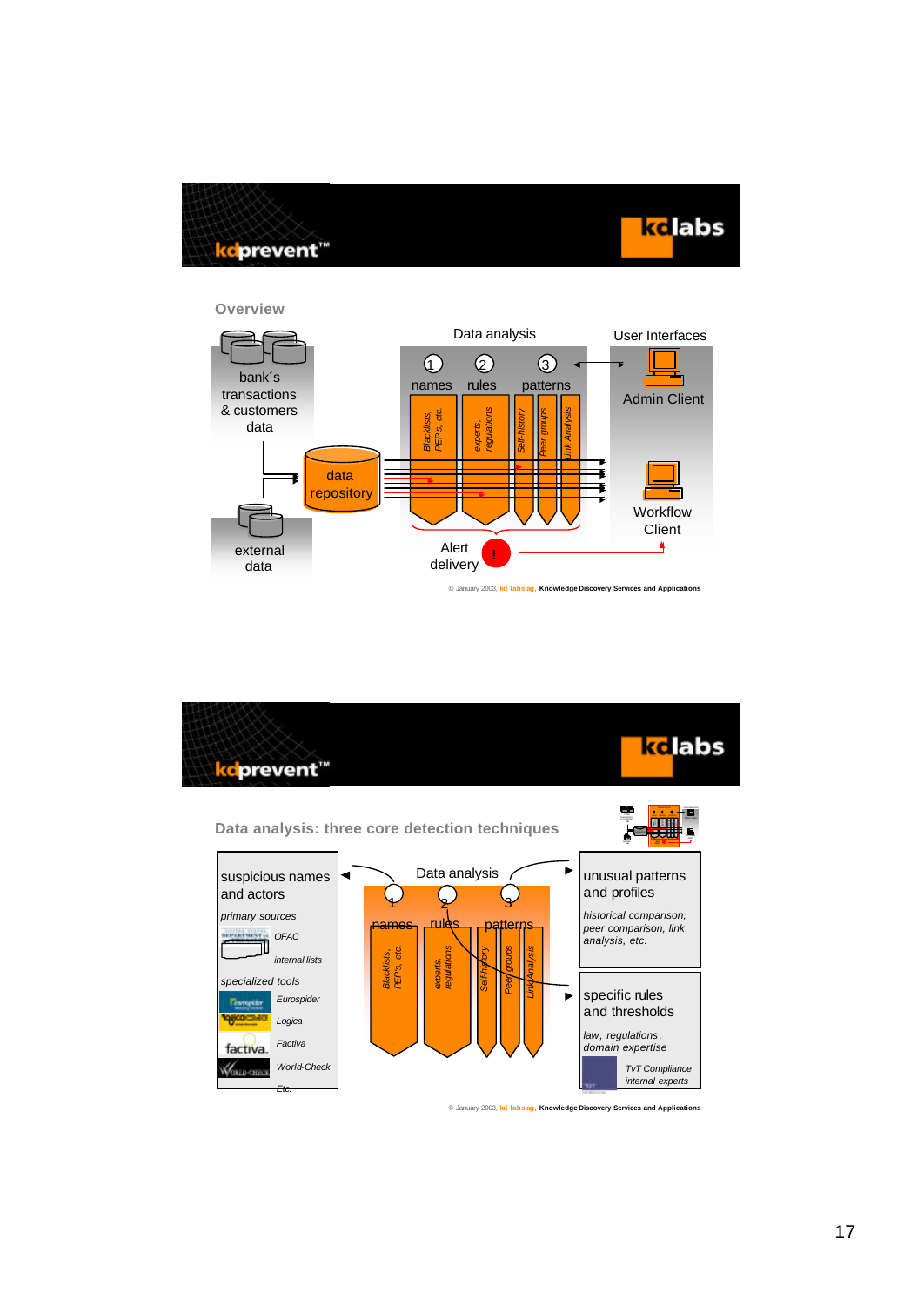



**Overview**



© January 2003, **kd labs ag**, **Knowledge Discovery Services and Applications**

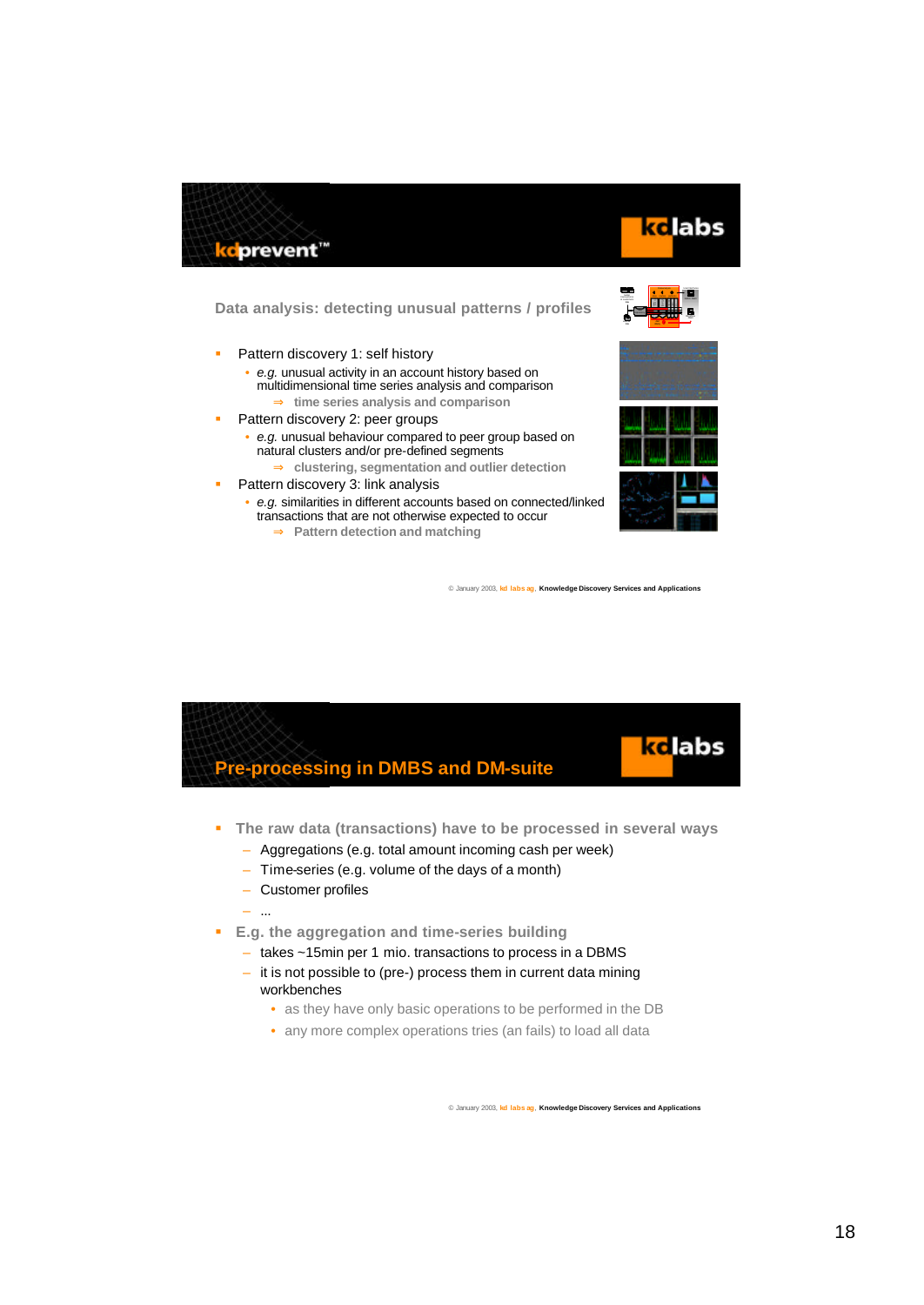

## ke labs

#### **Data analysis: detecting unusual patterns / profiles**



- **Pattern discovery 1: self history** 
	- *e.g.* unusual activity in an account history based on multidimensional time series analysis and comparison
		- ⇒ **time series analysis and comparison**
- **Pattern discovery 2: peer groups** 
	- *e.g.* unusual behaviour compared to peer group based on natural clusters and/or pre-defined segments
		- ⇒ **clustering, segmentation and outlier detection**
- ß Pattern discovery 3: link analysis
	- *e.g.* similarities in different accounts based on connected/linked transactions that are not otherwise expected to occur
		- ⇒ **Pattern detection and matching**





- **The raw data (transactions) have to be processed in several ways** 
	- Aggregations (e.g. total amount incoming cash per week)
	- Time-series (e.g. volume of the days of a month)
	- Customer profiles
	- ...
- ß **E.g. the aggregation and time-series building** 
	- takes ~15min per 1 mio. transactions to process in a DBMS
	- it is not possible to (pre-) process them in current data mining workbenches
		- as they have only basic operations to be performed in the DB
		- any more complex operations tries (an fails) to load all data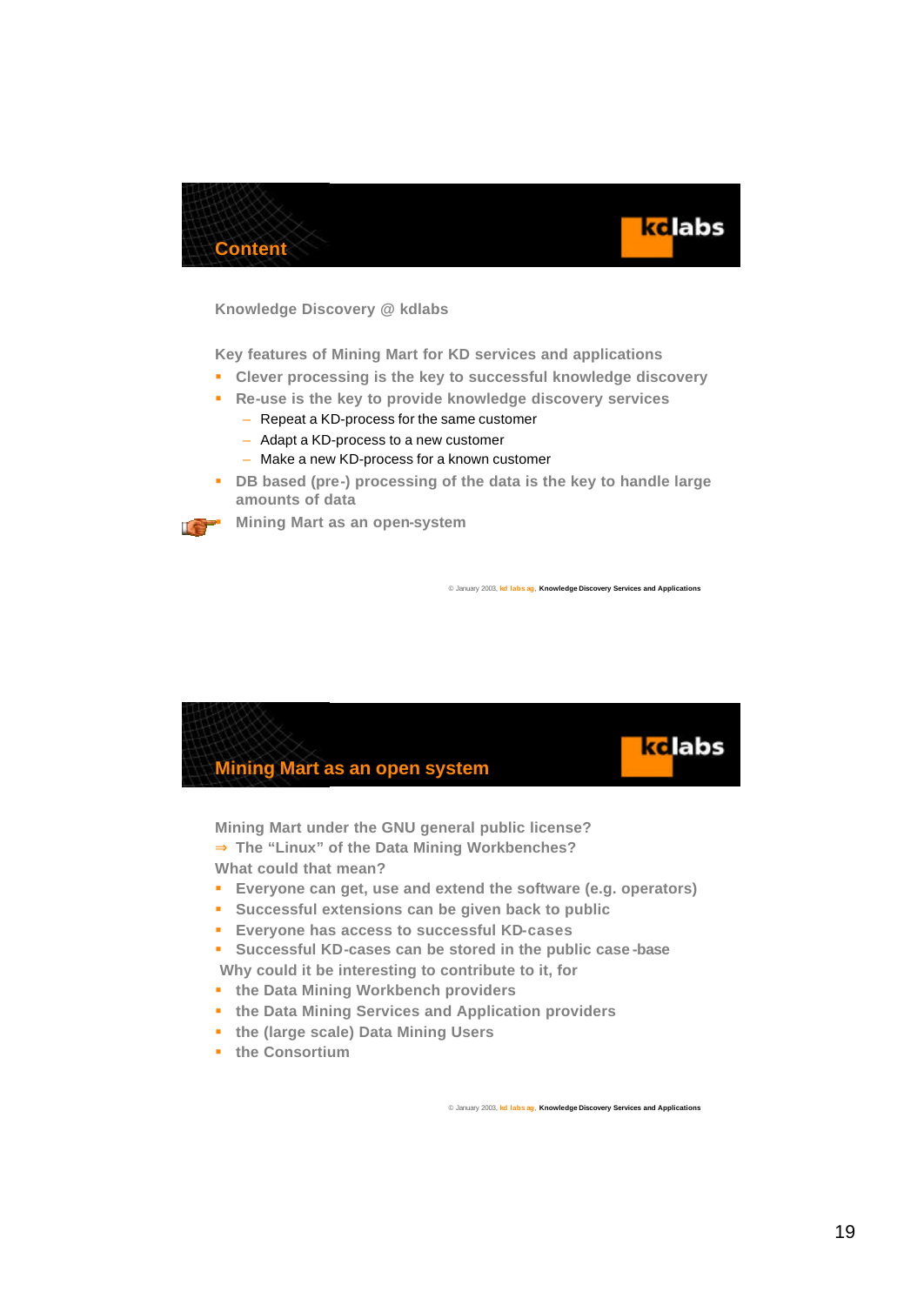



**Knowledge Discovery @ kdlabs**

**Key features of Mining Mart for KD services and applications**

- ß **Clever processing is the key to successful knowledge discovery**
- ß **Re-use is the key to provide knowledge discovery services**
	- Repeat a KD-process for the same customer
	- Adapt a KD-process to a new customer
	- Make a new KD-process for a known customer
- **B** DB based (pre-) processing of the data is the key to handle large **amounts of data**



ß **Mining Mart as an open-system**

© January 2003, **kd labs ag**, **Knowledge Discovery Services and Applications**



**Mining Mart under the GNU general public license?** ⇒ **The "Linux" of the Data Mining Workbenches? What could that mean?**

- **Everyone can get, use and extend the software (e.g. operators)**
- **s** Successful extensions can be given back to public
- ß **Everyone has access to successful KD-cases**
- ß **Successful KD-cases can be stored in the public case -base Why could it be interesting to contribute to it, for**
- $\bullet$  the Data Mining Workbench providers
- **the Data Mining Services and Application providers**
- **the (large scale) Data Mining Users**
- $\bullet$  the Consortium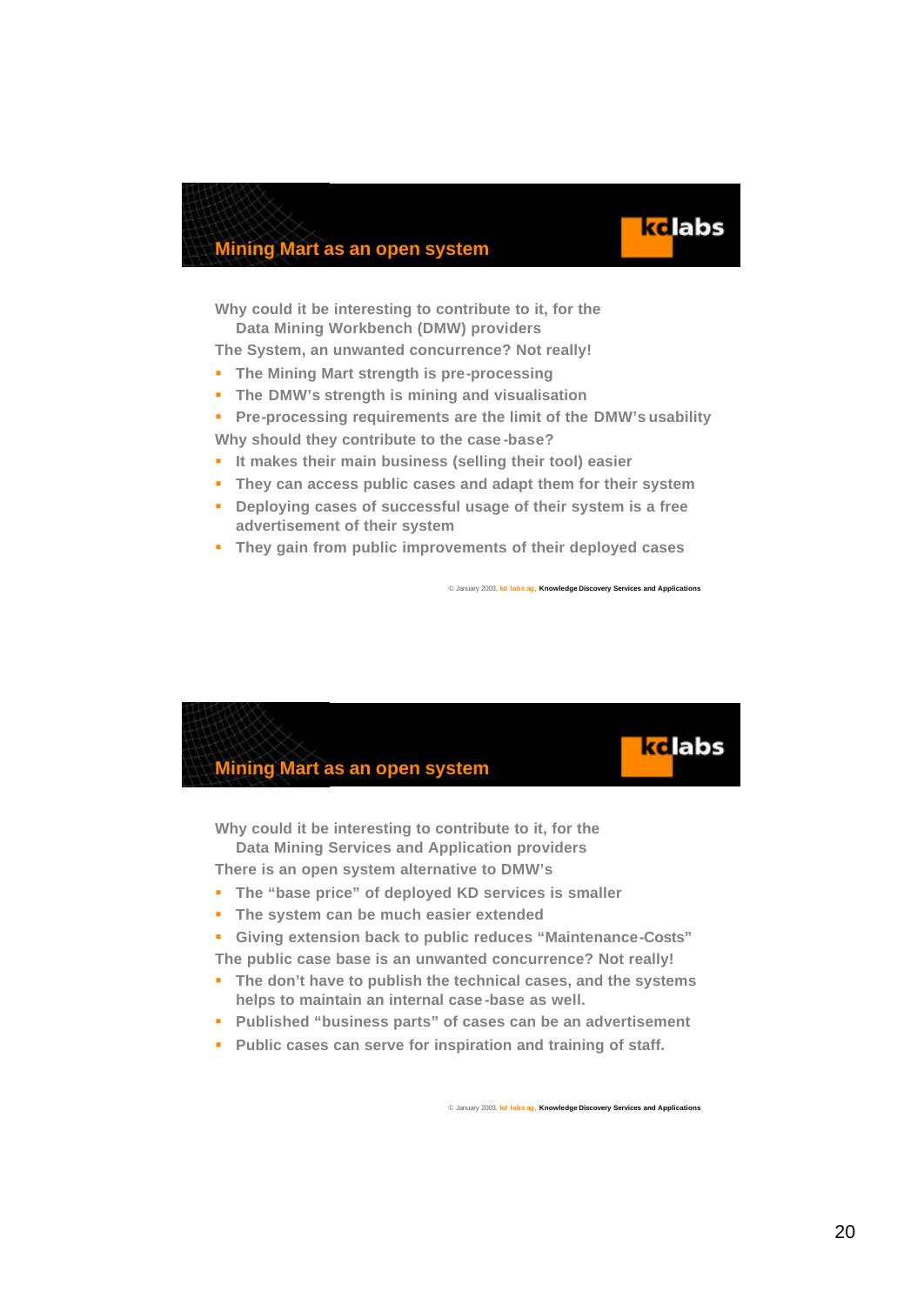### **Mining Mart as an open system**

**Why could it be interesting to contribute to it, for the Data Mining Workbench (DMW) providers**

**The System, an unwanted concurrence? Not really!** 

- **Fig. 3** The Mining Mart strength is pre-processing
- ß **The DMW's strength is mining and visualisation**
- ß **Pre-processing requirements are the limit of the DMW's usability Why should they contribute to the case -base?**
- **If makes their main business (selling their tool) easier**
- **FILE THEY CAN ACCESS public cases and adapt them for their system**
- **Peploying cases of successful usage of their system is a free advertisement of their system**
- ß **They gain from public improvements of their deployed cases**

© January 2003, **kd labs ag**, **Knowledge Discovery Services and Applications**

kelabs



**Why could it be interesting to contribute to it, for the Data Mining Services and Application providers**

**There is an open system alternative to DMW's**

- **The "base price" of deployed KD services is smaller**
- **Fig. 3** The system can be much easier extended
- ß **Giving extension back to public reduces "Maintenance-Costs"**

**The public case base is an unwanted concurrence? Not really!**

- **The don't have to publish the technical cases, and the systems helps to maintain an internal case -base as well.**
- ß **Published "business parts" of cases can be an advertisement**
- **Public cases can serve for inspiration and training of staff.**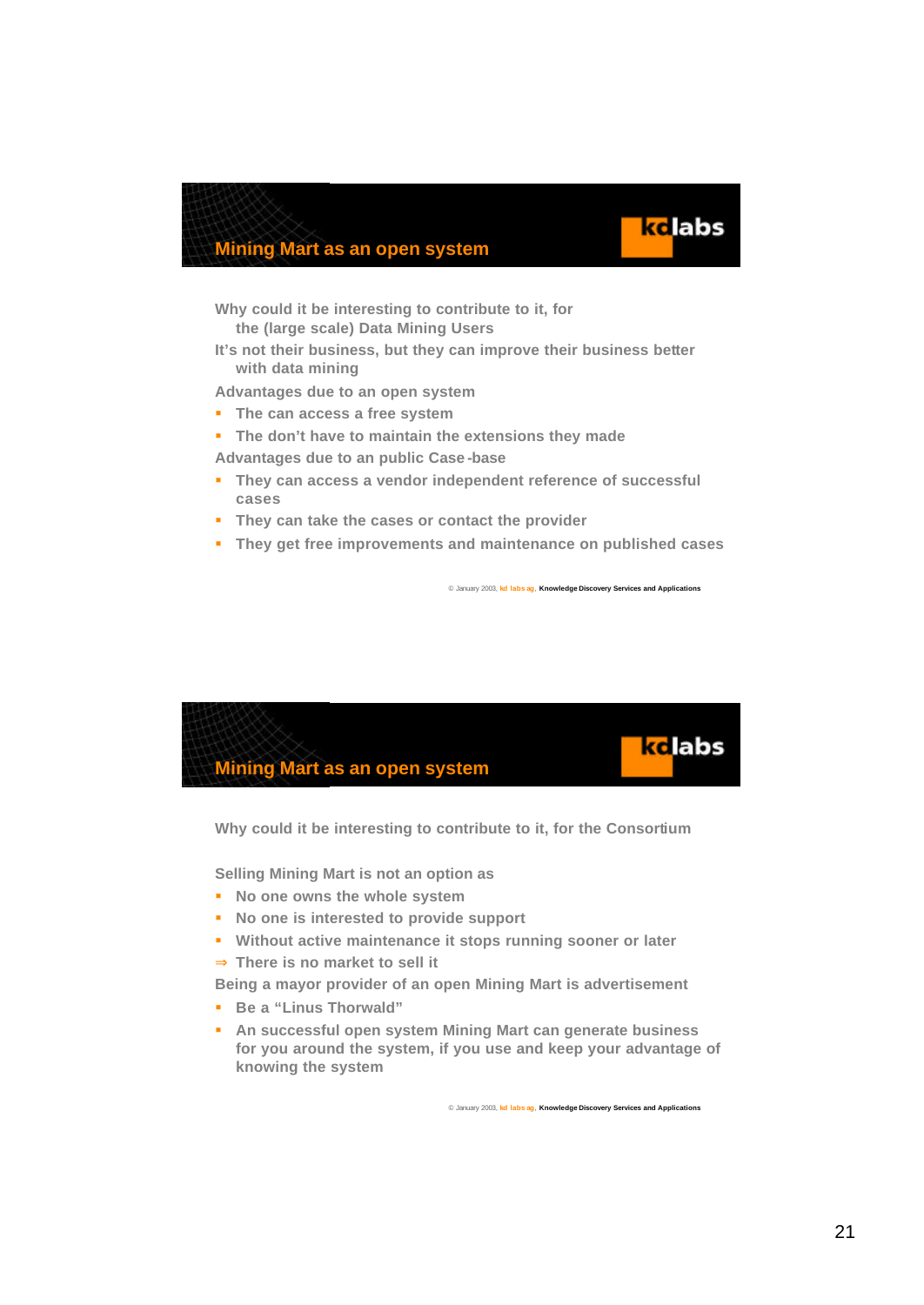### **Mining Mart as an open system**

**Why could it be interesting to contribute to it, for the (large scale) Data Mining Users**

**It's not their business, but they can improve their business better with data mining**

**Advantages due to an open system**

- **Fig. 5 The can access a free system**
- **Fig. 7** The don't have to maintain the extensions they made

**Advantages due to an public Case -base**

- **They can access a vendor independent reference of successful cases**
- ß **They can take the cases or contact the provider**
- ß **They get free improvements and maintenance on published cases**

© January 2003, **kd labs ag**, **Knowledge Discovery Services and Applications**

ke labs



**Why could it be interesting to contribute to it, for the Consortium**

**Selling Mining Mart is not an option as** 

- **Reduced Show Shows the whole system**
- **Reducer** No one is interested to provide support
- **Without active maintenance it stops running sooner or later**
- ⇒ **There is no market to sell it**

**Being a mayor provider of an open Mining Mart is advertisement**

- ß **Be a "Linus Thorwald"**
- **Reducess Frank open system Mining Mart can generate business for you around the system, if you use and keep your advantage of knowing the system**